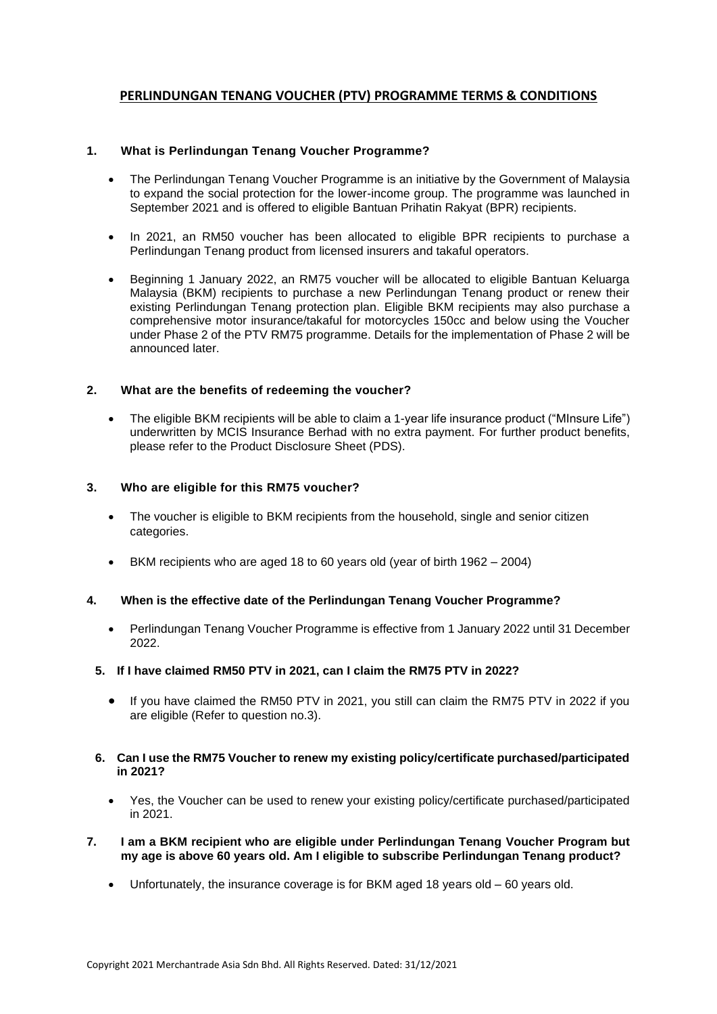# **PERLINDUNGAN TENANG VOUCHER (PTV) PROGRAMME TERMS & CONDITIONS**

## **1. What is Perlindungan Tenang Voucher Programme?**

- The Perlindungan Tenang Voucher Programme is an initiative by the Government of Malaysia to expand the social protection for the lower-income group. The programme was launched in September 2021 and is offered to eligible Bantuan Prihatin Rakyat (BPR) recipients.
- In 2021, an RM50 voucher has been allocated to eligible BPR recipients to purchase a Perlindungan Tenang product from licensed insurers and takaful operators.
- Beginning 1 January 2022, an RM75 voucher will be allocated to eligible Bantuan Keluarga Malaysia (BKM) recipients to purchase a new Perlindungan Tenang product or renew their existing Perlindungan Tenang protection plan. Eligible BKM recipients may also purchase a comprehensive motor insurance/takaful for motorcycles 150cc and below using the Voucher under Phase 2 of the PTV RM75 programme. Details for the implementation of Phase 2 will be announced later.

## **2. What are the benefits of redeeming the voucher?**

• The eligible BKM recipients will be able to claim a 1-year life insurance product ("MInsure Life") underwritten by MCIS Insurance Berhad with no extra payment. For further product benefits, please refer to the Product Disclosure Sheet (PDS).

## **3. Who are eligible for this RM75 voucher?**

- The voucher is eligible to BKM recipients from the household, single and senior citizen categories.
- BKM recipients who are aged 18 to 60 years old (year of birth 1962 2004)

## **4. When is the effective date of the Perlindungan Tenang Voucher Programme?**

• Perlindungan Tenang Voucher Programme is effective from 1 January 2022 until 31 December 2022.

## **5. If I have claimed RM50 PTV in 2021, can I claim the RM75 PTV in 2022?**

• If you have claimed the RM50 PTV in 2021, you still can claim the RM75 PTV in 2022 if you are eligible (Refer to question no.3).

### **6. Can I use the RM75 Voucher to renew my existing policy/certificate purchased/participated in 2021?**

- Yes, the Voucher can be used to renew your existing policy/certificate purchased/participated in 2021.
- **7. I am a BKM recipient who are eligible under Perlindungan Tenang Voucher Program but my age is above 60 years old. Am I eligible to subscribe Perlindungan Tenang product?** 
	- Unfortunately, the insurance coverage is for BKM aged 18 years old 60 years old.